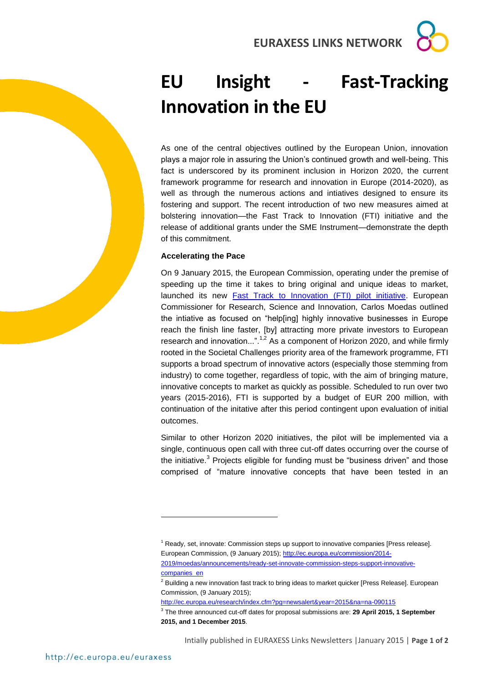**EURAXESS LINKS NETWORK**

## **EU Insight - Fast-Tracking Innovation in the EU**

As one of the central objectives outlined by the European Union, innovation plays a major role in assuring the Union's continued growth and well-being. This fact is underscored by its prominent inclusion in Horizon 2020, the current framework programme for research and innovation in Europe (2014-2020), as well as through the numerous actions and intiatives designed to ensure its fostering and support. The recent introduction of two new measures aimed at bolstering innovation—the Fast Track to Innovation (FTI) initiative and the release of additional grants under the SME Instrument—demonstrate the depth of this commitment.

## **Accelerating the Pace**

On 9 January 2015, the European Commission, operating under the premise of speeding up the time it takes to bring original and unique ideas to market, launched its new [Fast Track to Innovation \(FTI\) pilot initiative.](http://ec.europa.eu/programmes/horizon2020/en/h2020-section/fast-track-innovation-pilot-2015-2016) European Commissioner for Research, Science and Innovation, Carlos Moedas outlined the intiative as focused on "help[ing] highly innovative businesses in Europe reach the finish line faster, [by] attracting more private investors to European research and innovation...".<sup>1,2</sup> As a component of Horizon 2020, and while firmly rooted in the Societal Challenges priority area of the framework programme, FTI supports a broad spectrum of innovative actors (especially those stemming from industry) to come together, regardless of topic, with the aim of bringing mature, innovative concepts to market as quickly as possible. Scheduled to run over two years (2015-2016), FTI is supported by a budget of EUR 200 million, with continuation of the initative after this period contingent upon evaluation of initial outcomes.

Similar to other Horizon 2020 initiatives, the pilot will be implemented via a single, continuous open call with three cut-off dates occurring over the course of the initiative.<sup>3</sup> Projects eligible for funding must be "business driven" and those comprised of "mature innovative concepts that have been tested in an

<http://ec.europa.eu/research/index.cfm?pg=newsalert&year=2015&na=na-090115>

-

<sup>1</sup> Ready, set, innovate: Commission steps up support to innovative companies [Press release]. European Commission, (9 January 2015)[; http://ec.europa.eu/commission/2014-](http://ec.europa.eu/commission/2014-2019/moedas/announcements/ready-set-innovate-commission-steps-support-innovative-companies_en) [2019/moedas/announcements/ready-set-innovate-commission-steps-support-innovative](http://ec.europa.eu/commission/2014-2019/moedas/announcements/ready-set-innovate-commission-steps-support-innovative-companies_en)[companies\\_en](http://ec.europa.eu/commission/2014-2019/moedas/announcements/ready-set-innovate-commission-steps-support-innovative-companies_en)

<sup>&</sup>lt;sup>2</sup> Building a new innovation fast track to bring ideas to market quicker [Press Release]. European Commission, (9 January 2015);

<sup>3</sup> The three announced cut-off dates for proposal submissions are: **29 April 2015, 1 September 2015, and 1 December 2015**.